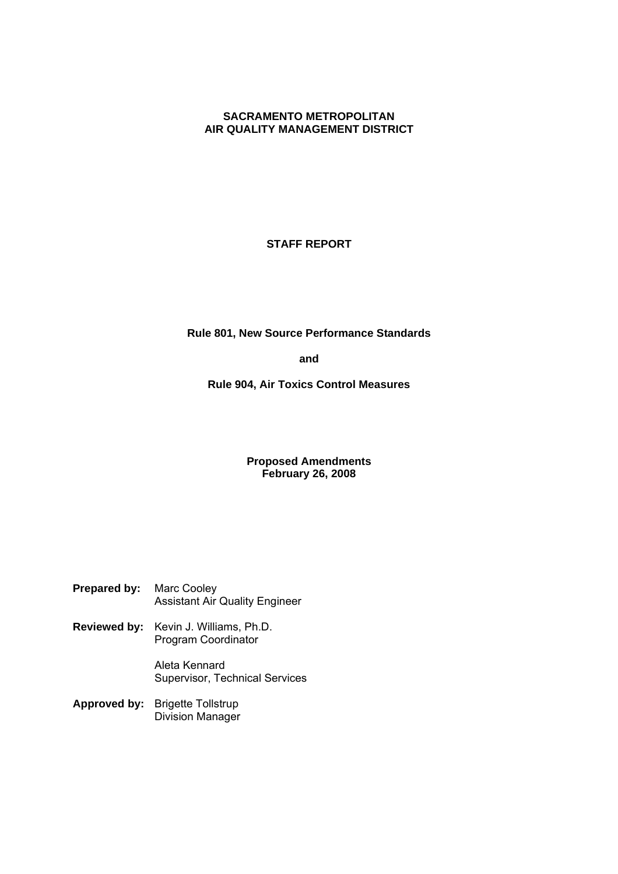# **SACRAMENTO METROPOLITAN AIR QUALITY MANAGEMENT DISTRICT**

# **STAFF REPORT**

**Rule 801, New Source Performance Standards**

**and**

**Rule 904, Air Toxics Control Measures**

## **Proposed Amendments February 26, 2008**

| <b>Prepared by:</b> Marc Cooley |                                       |
|---------------------------------|---------------------------------------|
|                                 | <b>Assistant Air Quality Engineer</b> |

**Reviewed by:** Kevin J. Williams, Ph.D. Program Coordinator

> Aleta Kennard Supervisor, Technical Services

**Approved by:** Brigette Tollstrup Division Manager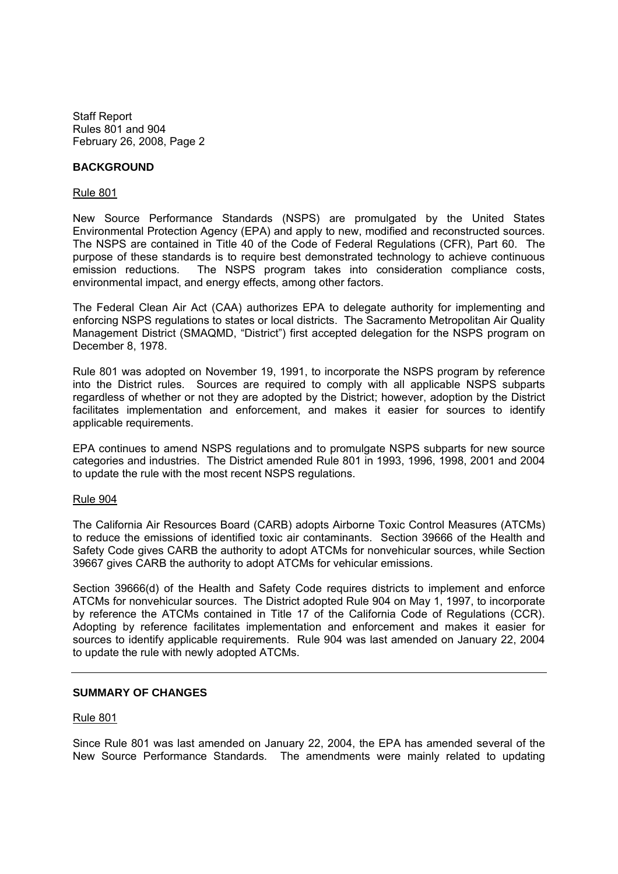### **BACKGROUND**

#### Rule 801

New Source Performance Standards (NSPS) are promulgated by the United States Environmental Protection Agency (EPA) and apply to new, modified and reconstructed sources. The NSPS are contained in Title 40 of the Code of Federal Regulations (CFR), Part 60. The purpose of these standards is to require best demonstrated technology to achieve continuous emission reductions. The NSPS program takes into consideration compliance costs, environmental impact, and energy effects, among other factors.

The Federal Clean Air Act (CAA) authorizes EPA to delegate authority for implementing and enforcing NSPS regulations to states or local districts. The Sacramento Metropolitan Air Quality Management District (SMAQMD, "District") first accepted delegation for the NSPS program on December 8, 1978.

Rule 801 was adopted on November 19, 1991, to incorporate the NSPS program by reference into the District rules. Sources are required to comply with all applicable NSPS subparts regardless of whether or not they are adopted by the District; however, adoption by the District facilitates implementation and enforcement, and makes it easier for sources to identify applicable requirements.

EPA continues to amend NSPS regulations and to promulgate NSPS subparts for new source categories and industries. The District amended Rule 801 in 1993, 1996, 1998, 2001 and 2004 to update the rule with the most recent NSPS regulations.

#### Rule 904

The California Air Resources Board (CARB) adopts Airborne Toxic Control Measures (ATCMs) to reduce the emissions of identified toxic air contaminants. Section 39666 of the Health and Safety Code gives CARB the authority to adopt ATCMs for nonvehicular sources, while Section 39667 gives CARB the authority to adopt ATCMs for vehicular emissions.

Section 39666(d) of the Health and Safety Code requires districts to implement and enforce ATCMs for nonvehicular sources. The District adopted Rule 904 on May 1, 1997, to incorporate by reference the ATCMs contained in Title 17 of the California Code of Regulations (CCR). Adopting by reference facilitates implementation and enforcement and makes it easier for sources to identify applicable requirements. Rule 904 was last amended on January 22, 2004 to update the rule with newly adopted ATCMs.

## **SUMMARY OF CHANGES**

#### Rule 801

Since Rule 801 was last amended on January 22, 2004, the EPA has amended several of the New Source Performance Standards. The amendments were mainly related to updating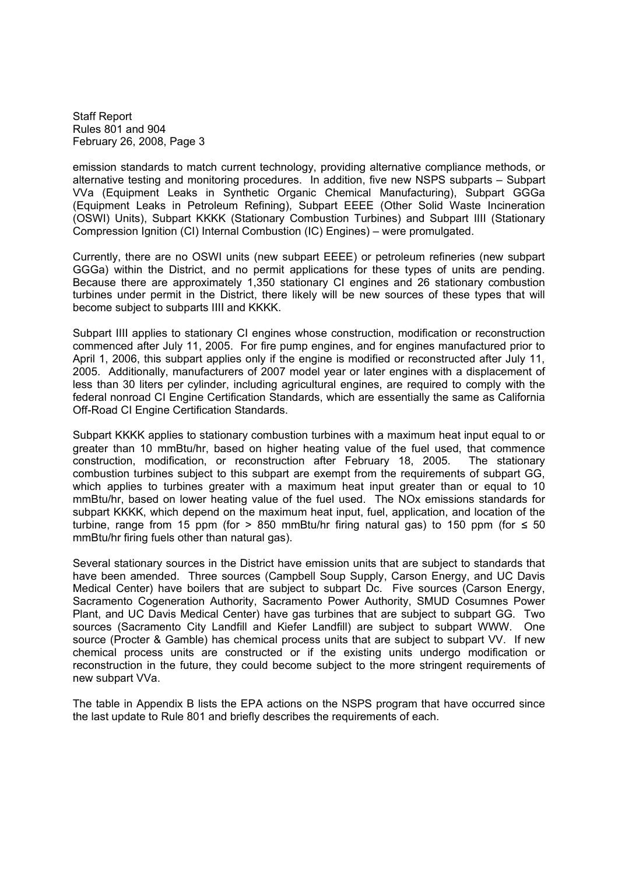emission standards to match current technology, providing alternative compliance methods, or alternative testing and monitoring procedures. In addition, five new NSPS subparts – Subpart VVa (Equipment Leaks in Synthetic Organic Chemical Manufacturing), Subpart GGGa (Equipment Leaks in Petroleum Refining), Subpart EEEE (Other Solid Waste Incineration (OSWI) Units), Subpart KKKK (Stationary Combustion Turbines) and Subpart IIII (Stationary Compression Ignition (CI) Internal Combustion (IC) Engines) – were promulgated.

Currently, there are no OSWI units (new subpart EEEE) or petroleum refineries (new subpart GGGa) within the District, and no permit applications for these types of units are pending. Because there are approximately 1,350 stationary CI engines and 26 stationary combustion turbines under permit in the District, there likely will be new sources of these types that will become subject to subparts IIII and KKKK.

Subpart IIII applies to stationary CI engines whose construction, modification or reconstruction commenced after July 11, 2005. For fire pump engines, and for engines manufactured prior to April 1, 2006, this subpart applies only if the engine is modified or reconstructed after July 11, 2005. Additionally, manufacturers of 2007 model year or later engines with a displacement of less than 30 liters per cylinder, including agricultural engines, are required to comply with the federal nonroad CI Engine Certification Standards, which are essentially the same as California Off-Road CI Engine Certification Standards.

Subpart KKKK applies to stationary combustion turbines with a maximum heat input equal to or greater than 10 mmBtu/hr, based on higher heating value of the fuel used, that commence construction, modification, or reconstruction after February 18, 2005. The stationary combustion turbines subject to this subpart are exempt from the requirements of subpart GG, which applies to turbines greater with a maximum heat input greater than or equal to 10 mmBtu/hr, based on lower heating value of the fuel used. The NOx emissions standards for subpart KKKK, which depend on the maximum heat input, fuel, application, and location of the turbine, range from 15 ppm (for  $> 850$  mmBtu/hr firing natural gas) to 150 ppm (for  $\leq 50$ mmBtu/hr firing fuels other than natural gas).

Several stationary sources in the District have emission units that are subject to standards that have been amended. Three sources (Campbell Soup Supply, Carson Energy, and UC Davis Medical Center) have boilers that are subject to subpart Dc. Five sources (Carson Energy, Sacramento Cogeneration Authority, Sacramento Power Authority, SMUD Cosumnes Power Plant, and UC Davis Medical Center) have gas turbines that are subject to subpart GG. Two sources (Sacramento City Landfill and Kiefer Landfill) are subject to subpart WWW. One source (Procter & Gamble) has chemical process units that are subject to subpart VV. If new chemical process units are constructed or if the existing units undergo modification or reconstruction in the future, they could become subject to the more stringent requirements of new subpart VVa.

The table in Appendix B lists the EPA actions on the NSPS program that have occurred since the last update to Rule 801 and briefly describes the requirements of each.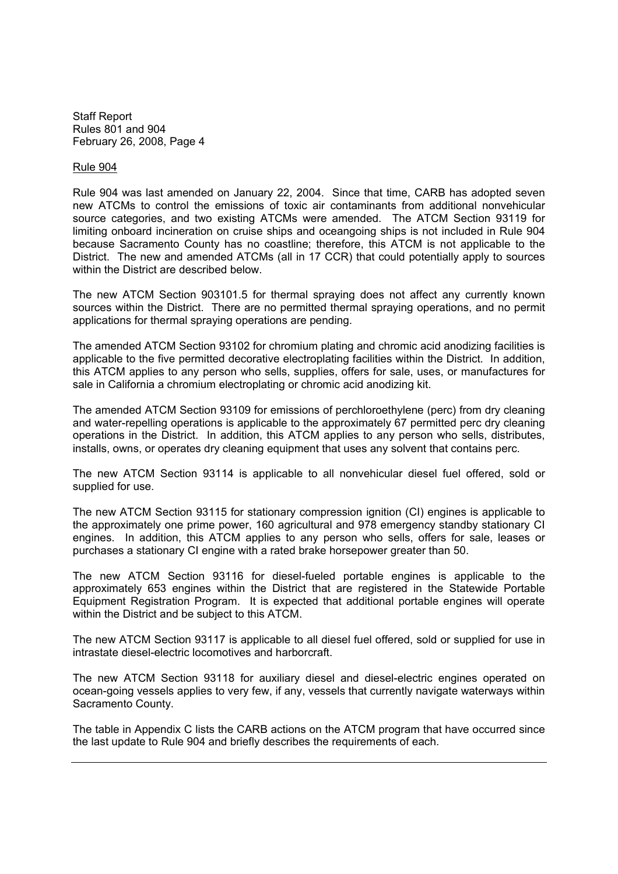#### Rule 904

Rule 904 was last amended on January 22, 2004. Since that time, CARB has adopted seven new ATCMs to control the emissions of toxic air contaminants from additional nonvehicular source categories, and two existing ATCMs were amended. The ATCM Section 93119 for limiting onboard incineration on cruise ships and oceangoing ships is not included in Rule 904 because Sacramento County has no coastline; therefore, this ATCM is not applicable to the District. The new and amended ATCMs (all in 17 CCR) that could potentially apply to sources within the District are described below.

The new ATCM Section 903101.5 for thermal spraying does not affect any currently known sources within the District. There are no permitted thermal spraying operations, and no permit applications for thermal spraying operations are pending.

The amended ATCM Section 93102 for chromium plating and chromic acid anodizing facilities is applicable to the five permitted decorative electroplating facilities within the District. In addition, this ATCM applies to any person who sells, supplies, offers for sale, uses, or manufactures for sale in California a chromium electroplating or chromic acid anodizing kit.

The amended ATCM Section 93109 for emissions of perchloroethylene (perc) from dry cleaning and water-repelling operations is applicable to the approximately 67 permitted perc dry cleaning operations in the District. In addition, this ATCM applies to any person who sells, distributes, installs, owns, or operates dry cleaning equipment that uses any solvent that contains perc.

The new ATCM Section 93114 is applicable to all nonvehicular diesel fuel offered, sold or supplied for use.

The new ATCM Section 93115 for stationary compression ignition (CI) engines is applicable to the approximately one prime power, 160 agricultural and 978 emergency standby stationary CI engines. In addition, this ATCM applies to any person who sells, offers for sale, leases or purchases a stationary CI engine with a rated brake horsepower greater than 50.

The new ATCM Section 93116 for diesel-fueled portable engines is applicable to the approximately 653 engines within the District that are registered in the Statewide Portable Equipment Registration Program. It is expected that additional portable engines will operate within the District and be subject to this ATCM.

The new ATCM Section 93117 is applicable to all diesel fuel offered, sold or supplied for use in intrastate diesel-electric locomotives and harborcraft.

The new ATCM Section 93118 for auxiliary diesel and diesel-electric engines operated on ocean-going vessels applies to very few, if any, vessels that currently navigate waterways within Sacramento County.

The table in Appendix C lists the CARB actions on the ATCM program that have occurred since the last update to Rule 904 and briefly describes the requirements of each.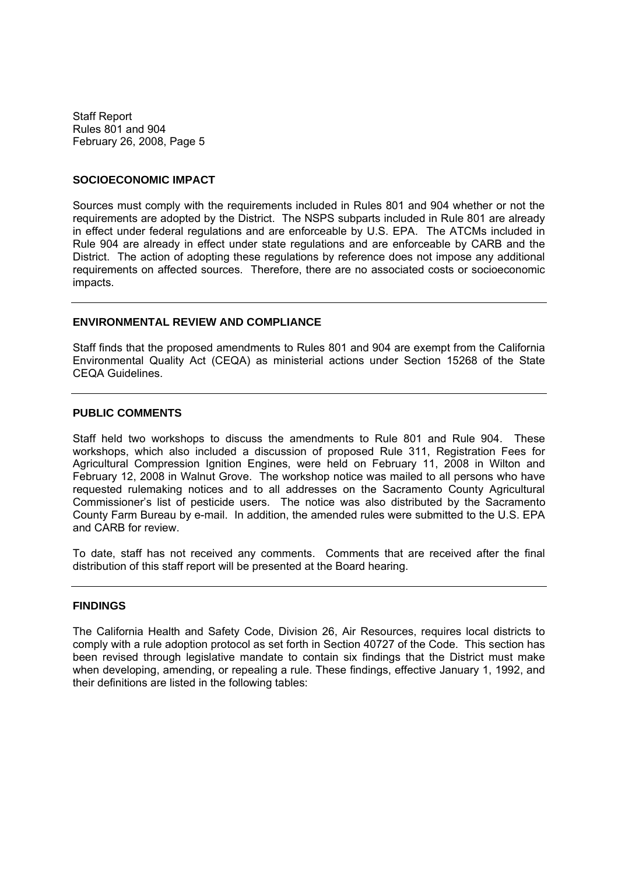#### **SOCIOECONOMIC IMPACT**

Sources must comply with the requirements included in Rules 801 and 904 whether or not the requirements are adopted by the District. The NSPS subparts included in Rule 801 are already in effect under federal regulations and are enforceable by U.S. EPA. The ATCMs included in Rule 904 are already in effect under state regulations and are enforceable by CARB and the District. The action of adopting these regulations by reference does not impose any additional requirements on affected sources. Therefore, there are no associated costs or socioeconomic impacts.

#### **ENVIRONMENTAL REVIEW AND COMPLIANCE**

Staff finds that the proposed amendments to Rules 801 and 904 are exempt from the California Environmental Quality Act (CEQA) as ministerial actions under Section 15268 of the State CEQA Guidelines.

#### **PUBLIC COMMENTS**

Staff held two workshops to discuss the amendments to Rule 801 and Rule 904. These workshops, which also included a discussion of proposed Rule 311, Registration Fees for Agricultural Compression Ignition Engines, were held on February 11, 2008 in Wilton and February 12, 2008 in Walnut Grove. The workshop notice was mailed to all persons who have requested rulemaking notices and to all addresses on the Sacramento County Agricultural Commissioner's list of pesticide users. The notice was also distributed by the Sacramento County Farm Bureau by e-mail. In addition, the amended rules were submitted to the U.S. EPA and CARB for review.

To date, staff has not received any comments. Comments that are received after the final distribution of this staff report will be presented at the Board hearing.

### **FINDINGS**

The California Health and Safety Code, Division 26, Air Resources, requires local districts to comply with a rule adoption protocol as set forth in Section 40727 of the Code. This section has been revised through legislative mandate to contain six findings that the District must make when developing, amending, or repealing a rule. These findings, effective January 1, 1992, and their definitions are listed in the following tables: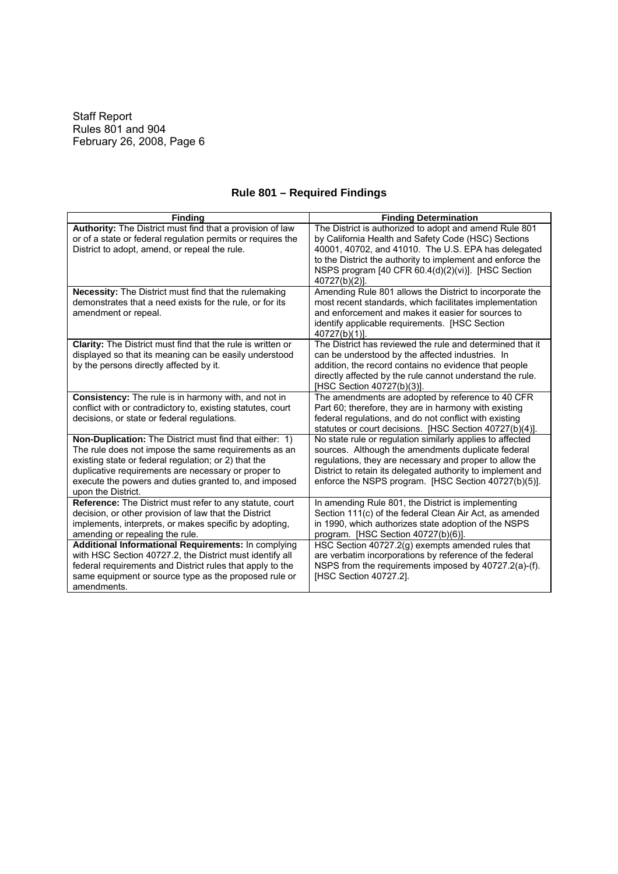| <b>Finding</b>                                                                                                                                                                                                                                                                                                       | <b>Finding Determination</b>                                                                                                                                                                                                                                                                              |
|----------------------------------------------------------------------------------------------------------------------------------------------------------------------------------------------------------------------------------------------------------------------------------------------------------------------|-----------------------------------------------------------------------------------------------------------------------------------------------------------------------------------------------------------------------------------------------------------------------------------------------------------|
| Authority: The District must find that a provision of law<br>or of a state or federal regulation permits or requires the<br>District to adopt, amend, or repeal the rule.                                                                                                                                            | The District is authorized to adopt and amend Rule 801<br>by California Health and Safety Code (HSC) Sections<br>40001, 40702, and 41010. The U.S. EPA has delegated<br>to the District the authority to implement and enforce the<br>NSPS program [40 CFR 60.4(d)(2)(vi)]. [HSC Section<br>40727(b)(2)]. |
| Necessity: The District must find that the rulemaking<br>demonstrates that a need exists for the rule, or for its<br>amendment or repeal.                                                                                                                                                                            | Amending Rule 801 allows the District to incorporate the<br>most recent standards, which facilitates implementation<br>and enforcement and makes it easier for sources to<br>identify applicable requirements. [HSC Section<br>40727(b)(1)].                                                              |
| <b>Clarity:</b> The District must find that the rule is written or<br>displayed so that its meaning can be easily understood<br>by the persons directly affected by it.                                                                                                                                              | The District has reviewed the rule and determined that it<br>can be understood by the affected industries. In<br>addition, the record contains no evidence that people<br>directly affected by the rule cannot understand the rule.<br>[HSC Section 40727(b)(3)].                                         |
| Consistency: The rule is in harmony with, and not in<br>conflict with or contradictory to, existing statutes, court<br>decisions, or state or federal regulations.                                                                                                                                                   | The amendments are adopted by reference to 40 CFR<br>Part 60; therefore, they are in harmony with existing<br>federal regulations, and do not conflict with existing<br>statutes or court decisions. [HSC Section 40727(b)(4)].                                                                           |
| <b>Non-Duplication:</b> The District must find that either: 1)<br>The rule does not impose the same requirements as an<br>existing state or federal regulation; or 2) that the<br>duplicative requirements are necessary or proper to<br>execute the powers and duties granted to, and imposed<br>upon the District. | No state rule or regulation similarly applies to affected<br>sources. Although the amendments duplicate federal<br>regulations, they are necessary and proper to allow the<br>District to retain its delegated authority to implement and<br>enforce the NSPS program. [HSC Section 40727(b)(5)].         |
| Reference: The District must refer to any statute, court<br>decision, or other provision of law that the District<br>implements, interprets, or makes specific by adopting,<br>amending or repealing the rule.                                                                                                       | In amending Rule 801, the District is implementing<br>Section 111(c) of the federal Clean Air Act, as amended<br>in 1990, which authorizes state adoption of the NSPS<br>program. [HSC Section 40727(b)(6)].                                                                                              |
| Additional Informational Requirements: In complying<br>with HSC Section 40727.2, the District must identify all<br>federal requirements and District rules that apply to the<br>same equipment or source type as the proposed rule or<br>amendments.                                                                 | HSC Section 40727.2(g) exempts amended rules that<br>are verbatim incorporations by reference of the federal<br>NSPS from the requirements imposed by 40727.2(a)-(f).<br>[HSC Section 40727.2].                                                                                                           |

# **Rule 801 – Required Findings**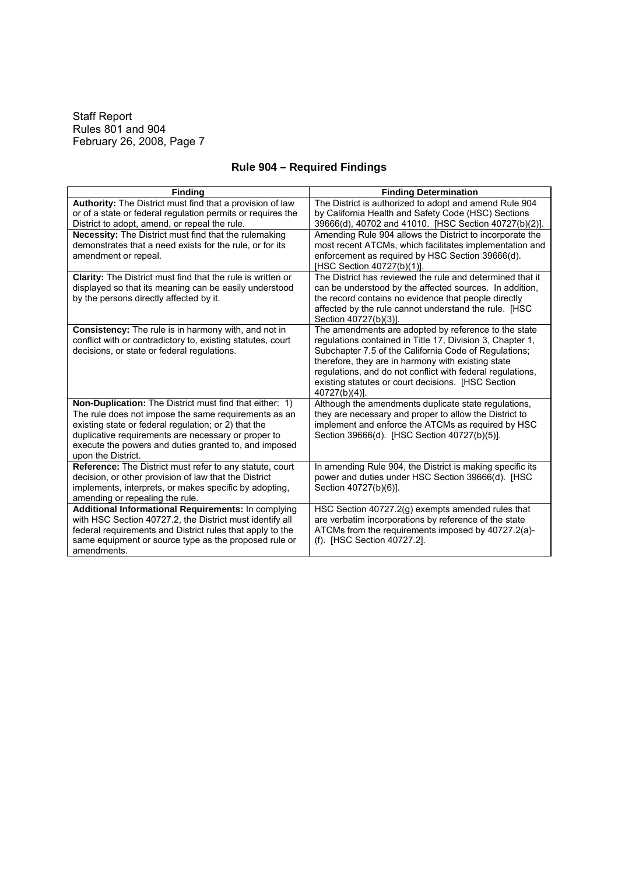| <b>Finding</b>                                                                                               | <b>Finding Determination</b>                                                                                    |
|--------------------------------------------------------------------------------------------------------------|-----------------------------------------------------------------------------------------------------------------|
| Authority: The District must find that a provision of law                                                    | The District is authorized to adopt and amend Rule 904                                                          |
| or of a state or federal regulation permits or requires the                                                  | by California Health and Safety Code (HSC) Sections                                                             |
| District to adopt, amend, or repeal the rule.                                                                | 39666(d), 40702 and 41010. [HSC Section 40727(b)(2)].                                                           |
| <b>Necessity:</b> The District must find that the rulemaking                                                 | Amending Rule 904 allows the District to incorporate the                                                        |
| demonstrates that a need exists for the rule, or for its                                                     | most recent ATCMs, which facilitates implementation and                                                         |
| amendment or repeal.                                                                                         | enforcement as required by HSC Section 39666(d).                                                                |
|                                                                                                              | [HSC Section 40727(b)(1)].                                                                                      |
| <b>Clarity:</b> The District must find that the rule is written or                                           | The District has reviewed the rule and determined that it                                                       |
| displayed so that its meaning can be easily understood<br>by the persons directly affected by it.            | can be understood by the affected sources. In addition,<br>the record contains no evidence that people directly |
|                                                                                                              | affected by the rule cannot understand the rule. [HSC                                                           |
|                                                                                                              | Section 40727(b)(3)].                                                                                           |
| <b>Consistency:</b> The rule is in harmony with, and not in                                                  | The amendments are adopted by reference to the state                                                            |
| conflict with or contradictory to, existing statutes, court                                                  | regulations contained in Title 17, Division 3, Chapter 1,                                                       |
| decisions, or state or federal regulations.                                                                  | Subchapter 7.5 of the California Code of Regulations;                                                           |
|                                                                                                              | therefore, they are in harmony with existing state                                                              |
|                                                                                                              | regulations, and do not conflict with federal regulations,                                                      |
|                                                                                                              | existing statutes or court decisions. [HSC Section                                                              |
|                                                                                                              | $40727(b)(4)$ ].                                                                                                |
| Non-Duplication: The District must find that either: 1)                                                      | Although the amendments duplicate state regulations,                                                            |
| The rule does not impose the same requirements as an                                                         | they are necessary and proper to allow the District to                                                          |
| existing state or federal regulation; or 2) that the                                                         | implement and enforce the ATCMs as required by HSC                                                              |
| duplicative requirements are necessary or proper to<br>execute the powers and duties granted to, and imposed | Section 39666(d). [HSC Section 40727(b)(5)].                                                                    |
| upon the District.                                                                                           |                                                                                                                 |
| Reference: The District must refer to any statute, court                                                     | In amending Rule 904, the District is making specific its                                                       |
| decision, or other provision of law that the District                                                        | power and duties under HSC Section 39666(d). [HSC                                                               |
| implements, interprets, or makes specific by adopting,                                                       | Section 40727(b)(6)].                                                                                           |
| amending or repealing the rule.                                                                              |                                                                                                                 |
| Additional Informational Requirements: In complying                                                          | HSC Section 40727.2(g) exempts amended rules that                                                               |
| with HSC Section 40727.2, the District must identify all                                                     | are verbatim incorporations by reference of the state                                                           |
| federal requirements and District rules that apply to the                                                    | ATCMs from the requirements imposed by 40727.2(a)-                                                              |
| same equipment or source type as the proposed rule or                                                        | (f). [HSC Section 40727.2].                                                                                     |
| amendments.                                                                                                  |                                                                                                                 |

# **Rule 904 – Required Findings**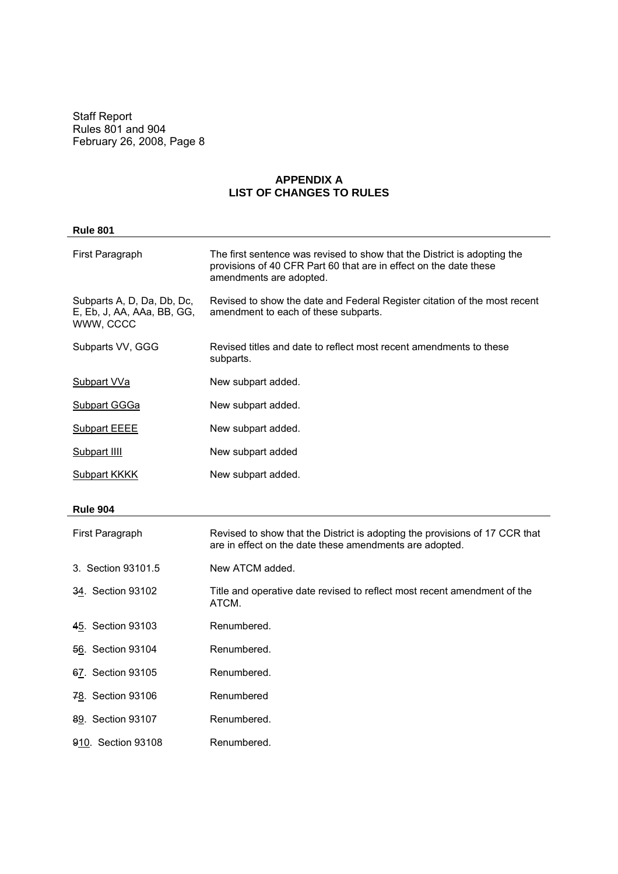# **APPENDIX A LIST OF CHANGES TO RULES**

| <b>Rule 801</b>                                                       |                                                                                                                                                                          |
|-----------------------------------------------------------------------|--------------------------------------------------------------------------------------------------------------------------------------------------------------------------|
| First Paragraph                                                       | The first sentence was revised to show that the District is adopting the<br>provisions of 40 CFR Part 60 that are in effect on the date these<br>amendments are adopted. |
| Subparts A, D, Da, Db, Dc,<br>E, Eb, J, AA, AAa, BB, GG,<br>WWW, CCCC | Revised to show the date and Federal Register citation of the most recent<br>amendment to each of these subparts.                                                        |
| Subparts VV, GGG                                                      | Revised titles and date to reflect most recent amendments to these<br>subparts.                                                                                          |
| <b>Subpart VVa</b>                                                    | New subpart added.                                                                                                                                                       |
| <b>Subpart GGGa</b>                                                   | New subpart added.                                                                                                                                                       |
| <b>Subpart EEEE</b>                                                   | New subpart added.                                                                                                                                                       |
| Subpart IIII                                                          | New subpart added                                                                                                                                                        |
| <b>Subpart KKKK</b>                                                   | New subpart added.                                                                                                                                                       |
| <b>Rule 904</b>                                                       |                                                                                                                                                                          |
| First Paragraph                                                       | Revised to show that the District is adopting the provisions of 17 CCR that<br>are in effect on the date these amendments are adopted.                                   |
| 3. Section 93101.5                                                    | New ATCM added.                                                                                                                                                          |
| 34. Section 93102                                                     | Title and operative date revised to reflect most recent amendment of the<br>ATCM.                                                                                        |
| 45. Section 93103                                                     | Renumbered.                                                                                                                                                              |
| 56. Section 93104                                                     | Renumbered.                                                                                                                                                              |
| 67. Section 93105                                                     | Renumbered.                                                                                                                                                              |
| 78. Section 93106                                                     | Renumbered                                                                                                                                                               |
| 89. Section 93107                                                     | Renumbered.                                                                                                                                                              |
| 910. Section 93108                                                    | Renumbered.                                                                                                                                                              |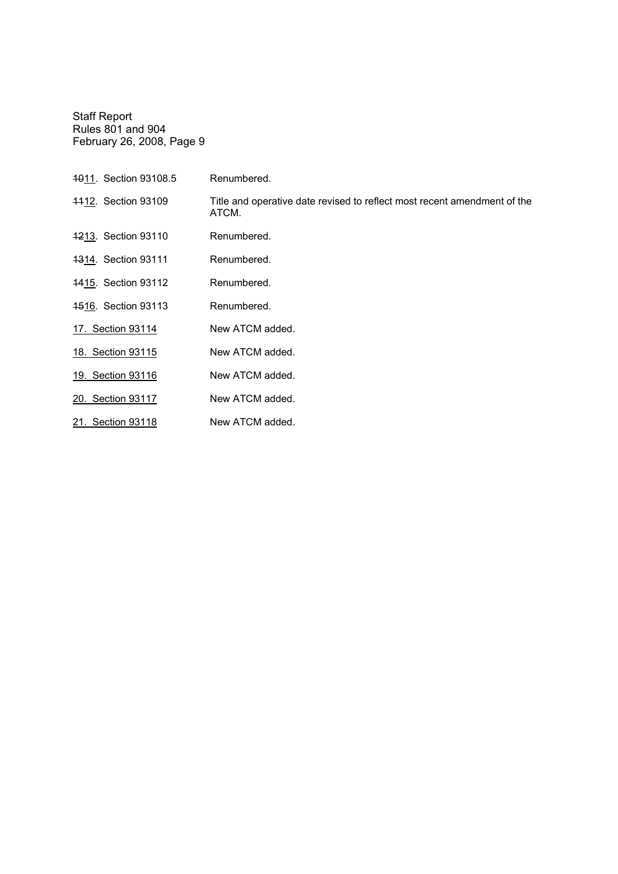| 4011. Section 93108.5      | Renumbered.                                                                       |
|----------------------------|-----------------------------------------------------------------------------------|
| 4412. Section 93109        | Title and operative date revised to reflect most recent amendment of the<br>ATCM. |
| 4213. Section 93110        | Renumbered.                                                                       |
| 4314. Section 93111        | Renumbered.                                                                       |
| <b>1415. Section 93112</b> | Renumbered.                                                                       |
| <b>4516. Section 93113</b> | Renumbered.                                                                       |
| 17. Section 93114          | New ATCM added.                                                                   |
| 18. Section 93115          | New ATCM added.                                                                   |
| 19. Section 93116          | New ATCM added.                                                                   |
| 20. Section 93117          | New ATCM added.                                                                   |
| 21. Section 93118          | New ATCM added.                                                                   |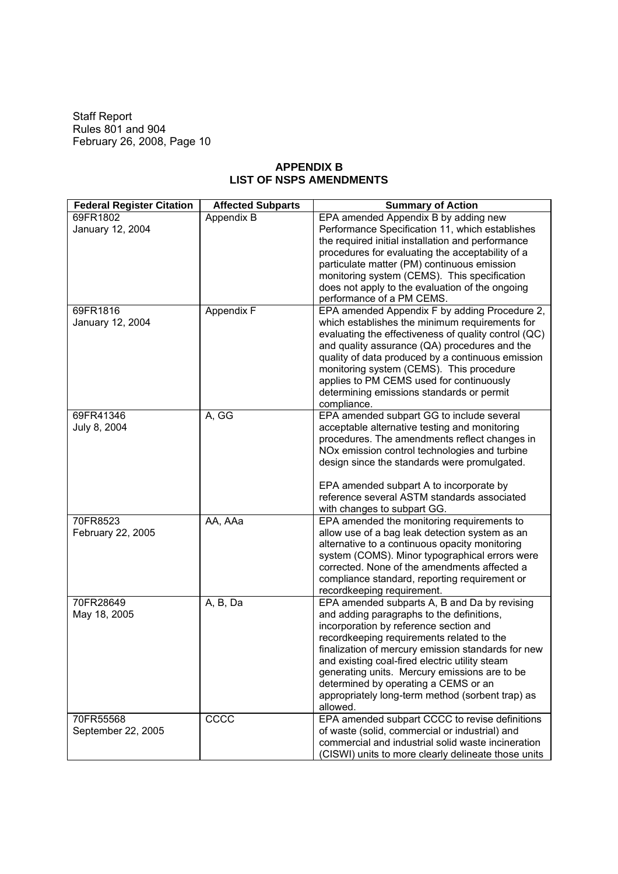## **APPENDIX B LIST OF NSPS AMENDMENTS**

| <b>Federal Register Citation</b> | <b>Affected Subparts</b> | <b>Summary of Action</b>                                                                         |
|----------------------------------|--------------------------|--------------------------------------------------------------------------------------------------|
| 69FR1802                         | Appendix B               | EPA amended Appendix B by adding new                                                             |
| January 12, 2004                 |                          | Performance Specification 11, which establishes                                                  |
|                                  |                          | the required initial installation and performance                                                |
|                                  |                          | procedures for evaluating the acceptability of a                                                 |
|                                  |                          | particulate matter (PM) continuous emission                                                      |
|                                  |                          | monitoring system (CEMS). This specification                                                     |
|                                  |                          | does not apply to the evaluation of the ongoing                                                  |
| 69FR1816                         | Appendix F               | performance of a PM CEMS.<br>EPA amended Appendix F by adding Procedure 2,                       |
| January 12, 2004                 |                          | which establishes the minimum requirements for                                                   |
|                                  |                          | evaluating the effectiveness of quality control (QC)                                             |
|                                  |                          | and quality assurance (QA) procedures and the                                                    |
|                                  |                          | quality of data produced by a continuous emission                                                |
|                                  |                          | monitoring system (CEMS). This procedure                                                         |
|                                  |                          | applies to PM CEMS used for continuously                                                         |
|                                  |                          | determining emissions standards or permit                                                        |
|                                  |                          | compliance.                                                                                      |
| 69FR41346                        | A, GG                    | EPA amended subpart GG to include several                                                        |
| July 8, 2004                     |                          | acceptable alternative testing and monitoring                                                    |
|                                  |                          | procedures. The amendments reflect changes in                                                    |
|                                  |                          | NOx emission control technologies and turbine                                                    |
|                                  |                          | design since the standards were promulgated.                                                     |
|                                  |                          |                                                                                                  |
|                                  |                          | EPA amended subpart A to incorporate by                                                          |
|                                  |                          | reference several ASTM standards associated                                                      |
|                                  |                          | with changes to subpart GG.                                                                      |
| 70FR8523                         | AA, AAa                  | EPA amended the monitoring requirements to                                                       |
| February 22, 2005                |                          | allow use of a bag leak detection system as an                                                   |
|                                  |                          | alternative to a continuous opacity monitoring<br>system (COMS). Minor typographical errors were |
|                                  |                          | corrected. None of the amendments affected a                                                     |
|                                  |                          | compliance standard, reporting requirement or                                                    |
|                                  |                          | recordkeeping requirement.                                                                       |
| 70FR28649                        | A, B, Da                 | EPA amended subparts A, B and Da by revising                                                     |
| May 18, 2005                     |                          | and adding paragraphs to the definitions,                                                        |
|                                  |                          | incorporation by reference section and                                                           |
|                                  |                          | recordkeeping requirements related to the                                                        |
|                                  |                          | finalization of mercury emission standards for new                                               |
|                                  |                          | and existing coal-fired electric utility steam                                                   |
|                                  |                          | generating units. Mercury emissions are to be                                                    |
|                                  |                          | determined by operating a CEMS or an                                                             |
|                                  |                          | appropriately long-term method (sorbent trap) as                                                 |
|                                  |                          | allowed.                                                                                         |
| 70FR55568                        | CCCC                     | EPA amended subpart CCCC to revise definitions                                                   |
| September 22, 2005               |                          | of waste (solid, commercial or industrial) and                                                   |
|                                  |                          | commercial and industrial solid waste incineration                                               |
|                                  |                          | (CISWI) units to more clearly delineate those units                                              |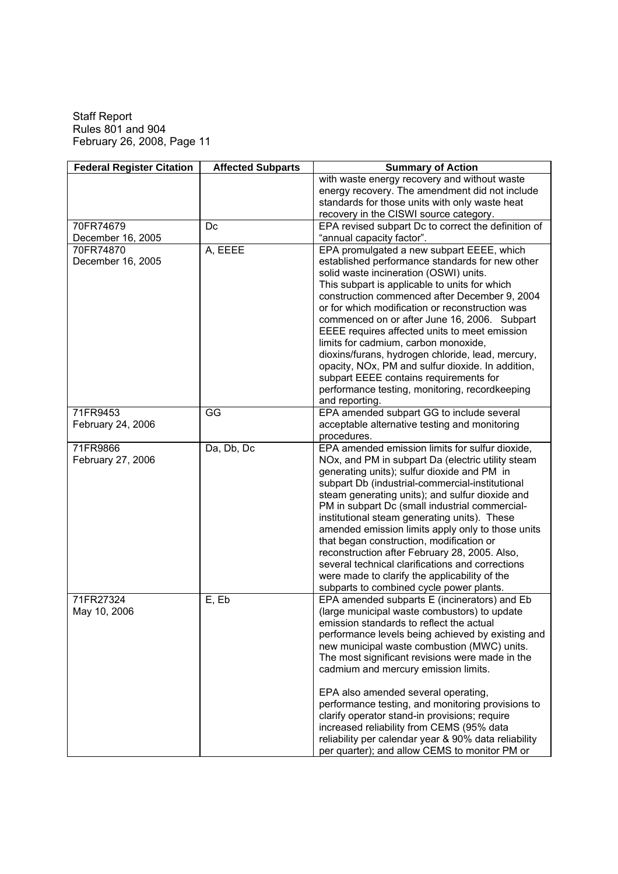| <b>Federal Register Citation</b> | <b>Affected Subparts</b> | <b>Summary of Action</b>                             |
|----------------------------------|--------------------------|------------------------------------------------------|
|                                  |                          | with waste energy recovery and without waste         |
|                                  |                          | energy recovery. The amendment did not include       |
|                                  |                          | standards for those units with only waste heat       |
|                                  |                          | recovery in the CISWI source category.               |
| 70FR74679                        | Dc                       | EPA revised subpart Dc to correct the definition of  |
| December 16, 2005                |                          | "annual capacity factor".                            |
| 70FR74870                        | A, EEEE                  | EPA promulgated a new subpart EEEE, which            |
| December 16, 2005                |                          | established performance standards for new other      |
|                                  |                          | solid waste incineration (OSWI) units.               |
|                                  |                          | This subpart is applicable to units for which        |
|                                  |                          | construction commenced after December 9, 2004        |
|                                  |                          | or for which modification or reconstruction was      |
|                                  |                          | commenced on or after June 16, 2006. Subpart         |
|                                  |                          | EEEE requires affected units to meet emission        |
|                                  |                          | limits for cadmium, carbon monoxide,                 |
|                                  |                          | dioxins/furans, hydrogen chloride, lead, mercury,    |
|                                  |                          | opacity, NOx, PM and sulfur dioxide. In addition,    |
|                                  |                          | subpart EEEE contains requirements for               |
|                                  |                          | performance testing, monitoring, recordkeeping       |
|                                  |                          | and reporting.                                       |
| 71FR9453                         | GG                       | EPA amended subpart GG to include several            |
| February 24, 2006                |                          | acceptable alternative testing and monitoring        |
|                                  |                          | procedures.                                          |
| 71FR9866                         | Da, Db, Dc               | EPA amended emission limits for sulfur dioxide,      |
| February 27, 2006                |                          | NOx, and PM in subpart Da (electric utility steam    |
|                                  |                          | generating units); sulfur dioxide and PM in          |
|                                  |                          | subpart Db (industrial-commercial-institutional      |
|                                  |                          | steam generating units); and sulfur dioxide and      |
|                                  |                          | PM in subpart Dc (small industrial commercial-       |
|                                  |                          | institutional steam generating units). These         |
|                                  |                          | amended emission limits apply only to those units    |
|                                  |                          | that began construction, modification or             |
|                                  |                          | reconstruction after February 28, 2005. Also,        |
|                                  |                          | several technical clarifications and corrections     |
|                                  |                          | were made to clarify the applicability of the        |
|                                  |                          | subparts to combined cycle power plants.             |
| 71FR27324                        | E, Eb                    | EPA amended subparts E (incinerators) and Eb         |
| May 10, 2006                     |                          | (large municipal waste combustors) to update         |
|                                  |                          | emission standards to reflect the actual             |
|                                  |                          | performance levels being achieved by existing and    |
|                                  |                          | new municipal waste combustion (MWC) units.          |
|                                  |                          | The most significant revisions were made in the      |
|                                  |                          | cadmium and mercury emission limits.                 |
|                                  |                          | EPA also amended several operating,                  |
|                                  |                          | performance testing, and monitoring provisions to    |
|                                  |                          | clarify operator stand-in provisions; require        |
|                                  |                          | increased reliability from CEMS (95% data            |
|                                  |                          | reliability per calendar year & 90% data reliability |
|                                  |                          | per quarter); and allow CEMS to monitor PM or        |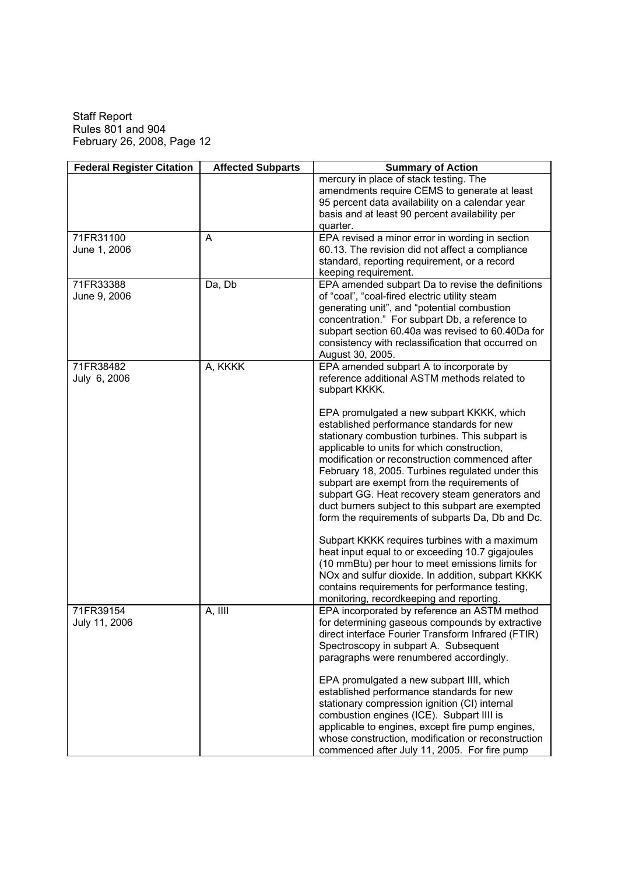| <b>Federal Register Citation</b> | <b>Affected Subparts</b> | <b>Summary of Action</b>                                                                                                                                                                                                                                                                                                                                                                                                                                                                                 |
|----------------------------------|--------------------------|----------------------------------------------------------------------------------------------------------------------------------------------------------------------------------------------------------------------------------------------------------------------------------------------------------------------------------------------------------------------------------------------------------------------------------------------------------------------------------------------------------|
|                                  |                          | mercury in place of stack testing. The<br>amendments require CEMS to generate at least<br>95 percent data availability on a calendar year                                                                                                                                                                                                                                                                                                                                                                |
|                                  |                          | basis and at least 90 percent availability per<br>quarter.                                                                                                                                                                                                                                                                                                                                                                                                                                               |
| 71FR31100<br>June 1, 2006        | A                        | EPA revised a minor error in wording in section<br>60.13. The revision did not affect a compliance<br>standard, reporting requirement, or a record                                                                                                                                                                                                                                                                                                                                                       |
| 71FR33388                        | Da, Db                   | keeping requirement.<br>EPA amended subpart Da to revise the definitions                                                                                                                                                                                                                                                                                                                                                                                                                                 |
| June 9, 2006                     |                          | of "coal", "coal-fired electric utility steam<br>generating unit", and "potential combustion<br>concentration." For subpart Db, a reference to<br>subpart section 60.40a was revised to 60.40Da for<br>consistency with reclassification that occurred on<br>August 30, 2005.                                                                                                                                                                                                                            |
| 71FR38482<br>July 6, 2006        | A, KKKK                  | EPA amended subpart A to incorporate by<br>reference additional ASTM methods related to<br>subpart KKKK.                                                                                                                                                                                                                                                                                                                                                                                                 |
|                                  |                          | EPA promulgated a new subpart KKKK, which<br>established performance standards for new<br>stationary combustion turbines. This subpart is<br>applicable to units for which construction,<br>modification or reconstruction commenced after<br>February 18, 2005. Turbines regulated under this<br>subpart are exempt from the requirements of<br>subpart GG. Heat recovery steam generators and<br>duct burners subject to this subpart are exempted<br>form the requirements of subparts Da, Db and Dc. |
|                                  |                          | Subpart KKKK requires turbines with a maximum<br>heat input equal to or exceeding 10.7 gigajoules<br>(10 mmBtu) per hour to meet emissions limits for<br>NOx and sulfur dioxide. In addition, subpart KKKK<br>contains requirements for performance testing,<br>monitoring, recordkeeping and reporting.                                                                                                                                                                                                 |
| 71FR39154<br>July 11, 2006       | A, IIII                  | EPA incorporated by reference an ASTM method<br>for determining gaseous compounds by extractive<br>direct interface Fourier Transform Infrared (FTIR)<br>Spectroscopy in subpart A. Subsequent<br>paragraphs were renumbered accordingly.                                                                                                                                                                                                                                                                |
|                                  |                          | EPA promulgated a new subpart IIII, which<br>established performance standards for new<br>stationary compression ignition (CI) internal<br>combustion engines (ICE). Subpart IIII is<br>applicable to engines, except fire pump engines,<br>whose construction, modification or reconstruction<br>commenced after July 11, 2005. For fire pump                                                                                                                                                           |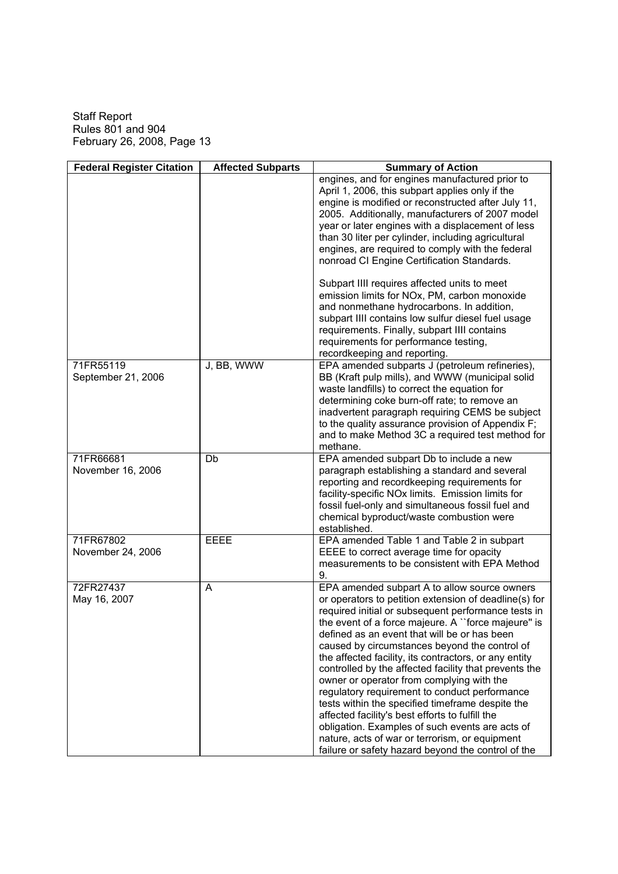| <b>Federal Register Citation</b> | <b>Affected Subparts</b> | <b>Summary of Action</b>                                                                                                                                                                                                                                                                                                                                                                                                                                                                                                                                                                                                                                                                                                                                                                              |
|----------------------------------|--------------------------|-------------------------------------------------------------------------------------------------------------------------------------------------------------------------------------------------------------------------------------------------------------------------------------------------------------------------------------------------------------------------------------------------------------------------------------------------------------------------------------------------------------------------------------------------------------------------------------------------------------------------------------------------------------------------------------------------------------------------------------------------------------------------------------------------------|
|                                  |                          | engines, and for engines manufactured prior to<br>April 1, 2006, this subpart applies only if the<br>engine is modified or reconstructed after July 11,<br>2005. Additionally, manufacturers of 2007 model<br>year or later engines with a displacement of less<br>than 30 liter per cylinder, including agricultural<br>engines, are required to comply with the federal<br>nonroad CI Engine Certification Standards.                                                                                                                                                                                                                                                                                                                                                                               |
|                                  |                          | Subpart IIII requires affected units to meet<br>emission limits for NOx, PM, carbon monoxide<br>and nonmethane hydrocarbons. In addition,<br>subpart IIII contains low sulfur diesel fuel usage<br>requirements. Finally, subpart IIII contains<br>requirements for performance testing,<br>recordkeeping and reporting.                                                                                                                                                                                                                                                                                                                                                                                                                                                                              |
| 71FR55119<br>September 21, 2006  | J, BB, WWW               | EPA amended subparts J (petroleum refineries),<br>BB (Kraft pulp mills), and WWW (municipal solid<br>waste landfills) to correct the equation for<br>determining coke burn-off rate; to remove an<br>inadvertent paragraph requiring CEMS be subject<br>to the quality assurance provision of Appendix F;<br>and to make Method 3C a required test method for<br>methane.                                                                                                                                                                                                                                                                                                                                                                                                                             |
| 71FR66681<br>November 16, 2006   | Db                       | EPA amended subpart Db to include a new<br>paragraph establishing a standard and several<br>reporting and recordkeeping requirements for<br>facility-specific NOx limits. Emission limits for<br>fossil fuel-only and simultaneous fossil fuel and<br>chemical byproduct/waste combustion were<br>established.                                                                                                                                                                                                                                                                                                                                                                                                                                                                                        |
| 71FR67802<br>November 24, 2006   | <b>EEEE</b>              | EPA amended Table 1 and Table 2 in subpart<br>EEEE to correct average time for opacity<br>measurements to be consistent with EPA Method<br>9.                                                                                                                                                                                                                                                                                                                                                                                                                                                                                                                                                                                                                                                         |
| 72FR27437<br>May 16, 2007        | A                        | EPA amended subpart A to allow source owners<br>or operators to petition extension of deadline(s) for<br>required initial or subsequent performance tests in<br>the event of a force majeure. A "force majeure" is<br>defined as an event that will be or has been<br>caused by circumstances beyond the control of<br>the affected facility, its contractors, or any entity<br>controlled by the affected facility that prevents the<br>owner or operator from complying with the<br>regulatory requirement to conduct performance<br>tests within the specified timeframe despite the<br>affected facility's best efforts to fulfill the<br>obligation. Examples of such events are acts of<br>nature, acts of war or terrorism, or equipment<br>failure or safety hazard beyond the control of the |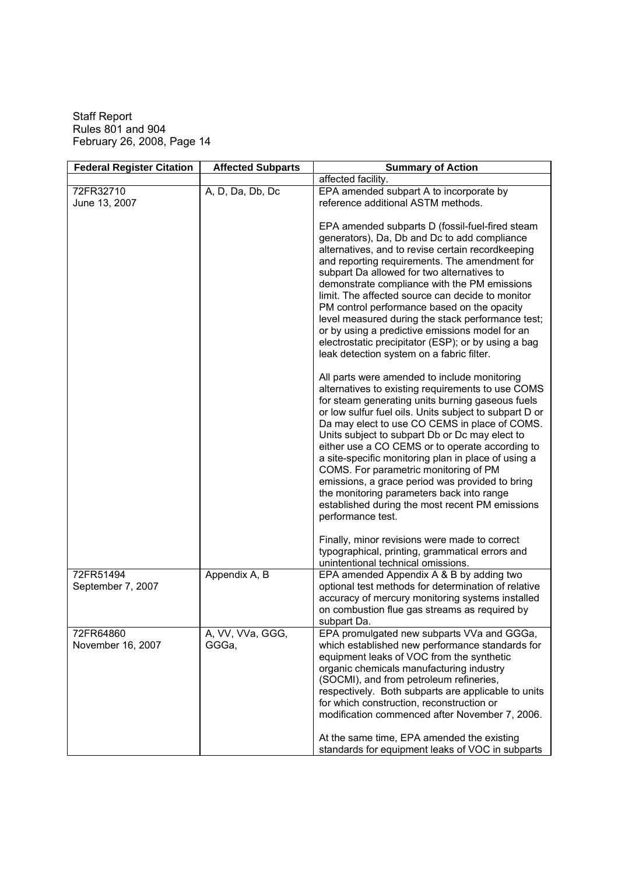| <b>Federal Register Citation</b> | <b>Affected Subparts</b>  | <b>Summary of Action</b>                                                                                                                                                                                                                                                                                                                                                                                                                                                                                                                                                                                                                                                                                                                                                                                                                                                               |
|----------------------------------|---------------------------|----------------------------------------------------------------------------------------------------------------------------------------------------------------------------------------------------------------------------------------------------------------------------------------------------------------------------------------------------------------------------------------------------------------------------------------------------------------------------------------------------------------------------------------------------------------------------------------------------------------------------------------------------------------------------------------------------------------------------------------------------------------------------------------------------------------------------------------------------------------------------------------|
|                                  |                           | affected facility.                                                                                                                                                                                                                                                                                                                                                                                                                                                                                                                                                                                                                                                                                                                                                                                                                                                                     |
| 72FR32710                        | A, D, Da, Db, Dc          | EPA amended subpart A to incorporate by                                                                                                                                                                                                                                                                                                                                                                                                                                                                                                                                                                                                                                                                                                                                                                                                                                                |
| June 13, 2007                    |                           | reference additional ASTM methods.                                                                                                                                                                                                                                                                                                                                                                                                                                                                                                                                                                                                                                                                                                                                                                                                                                                     |
|                                  |                           | EPA amended subparts D (fossil-fuel-fired steam<br>generators), Da, Db and Dc to add compliance<br>alternatives, and to revise certain recordkeeping<br>and reporting requirements. The amendment for<br>subpart Da allowed for two alternatives to<br>demonstrate compliance with the PM emissions<br>limit. The affected source can decide to monitor<br>PM control performance based on the opacity<br>level measured during the stack performance test;<br>or by using a predictive emissions model for an<br>electrostatic precipitator (ESP); or by using a bag<br>leak detection system on a fabric filter.<br>All parts were amended to include monitoring<br>alternatives to existing requirements to use COMS<br>for steam generating units burning gaseous fuels<br>or low sulfur fuel oils. Units subject to subpart D or<br>Da may elect to use CO CEMS in place of COMS. |
|                                  |                           | Units subject to subpart Db or Dc may elect to<br>either use a CO CEMS or to operate according to<br>a site-specific monitoring plan in place of using a<br>COMS. For parametric monitoring of PM<br>emissions, a grace period was provided to bring<br>the monitoring parameters back into range<br>established during the most recent PM emissions<br>performance test.                                                                                                                                                                                                                                                                                                                                                                                                                                                                                                              |
|                                  |                           | Finally, minor revisions were made to correct<br>typographical, printing, grammatical errors and<br>unintentional technical omissions.                                                                                                                                                                                                                                                                                                                                                                                                                                                                                                                                                                                                                                                                                                                                                 |
| 72FR51494<br>September 7, 2007   | Appendix A, B             | EPA amended Appendix A & B by adding two<br>optional test methods for determination of relative<br>accuracy of mercury monitoring systems installed<br>on combustion flue gas streams as required by<br>subpart Da.                                                                                                                                                                                                                                                                                                                                                                                                                                                                                                                                                                                                                                                                    |
| 72FR64860<br>November 16, 2007   | A, VV, VVa, GGG,<br>GGGa, | EPA promulgated new subparts VVa and GGGa,<br>which established new performance standards for<br>equipment leaks of VOC from the synthetic<br>organic chemicals manufacturing industry<br>(SOCMI), and from petroleum refineries,<br>respectively. Both subparts are applicable to units<br>for which construction, reconstruction or<br>modification commenced after November 7, 2006.<br>At the same time, EPA amended the existing<br>standards for equipment leaks of VOC in subparts                                                                                                                                                                                                                                                                                                                                                                                              |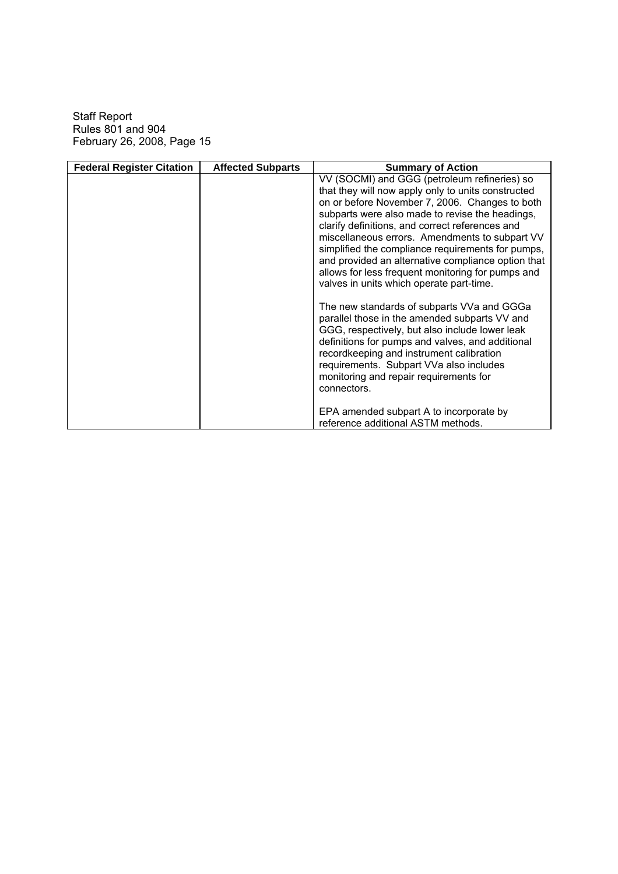| <b>Federal Register Citation</b> | <b>Affected Subparts</b> | <b>Summary of Action</b>                                                                                                                                                                                                                                                                                                                                                                                                                                                                                                 |
|----------------------------------|--------------------------|--------------------------------------------------------------------------------------------------------------------------------------------------------------------------------------------------------------------------------------------------------------------------------------------------------------------------------------------------------------------------------------------------------------------------------------------------------------------------------------------------------------------------|
|                                  |                          | VV (SOCMI) and GGG (petroleum refineries) so<br>that they will now apply only to units constructed<br>on or before November 7, 2006. Changes to both<br>subparts were also made to revise the headings,<br>clarify definitions, and correct references and<br>miscellaneous errors. Amendments to subpart VV<br>simplified the compliance requirements for pumps,<br>and provided an alternative compliance option that<br>allows for less frequent monitoring for pumps and<br>valves in units which operate part-time. |
|                                  |                          | The new standards of subparts VVa and GGGa<br>parallel those in the amended subparts VV and<br>GGG, respectively, but also include lower leak<br>definitions for pumps and valves, and additional<br>recordkeeping and instrument calibration<br>requirements. Subpart VVa also includes<br>monitoring and repair requirements for<br>connectors.<br>EPA amended subpart A to incorporate by<br>reference additional ASTM methods.                                                                                       |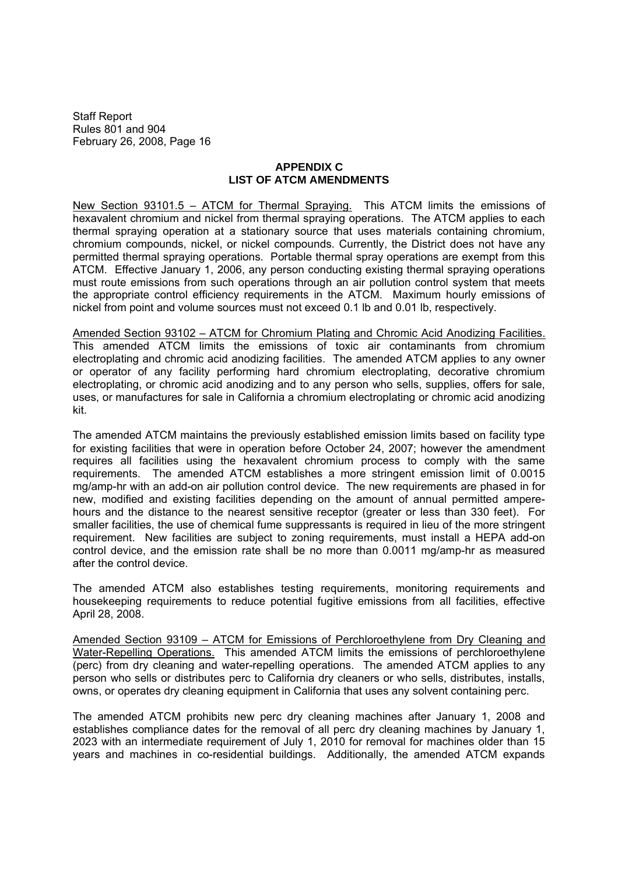## **APPENDIX C LIST OF ATCM AMENDMENTS**

New Section 93101.5 – ATCM for Thermal Spraying. This ATCM limits the emissions of hexavalent chromium and nickel from thermal spraying operations. The ATCM applies to each thermal spraying operation at a stationary source that uses materials containing chromium, chromium compounds, nickel, or nickel compounds. Currently, the District does not have any permitted thermal spraying operations. Portable thermal spray operations are exempt from this ATCM. Effective January 1, 2006, any person conducting existing thermal spraying operations must route emissions from such operations through an air pollution control system that meets the appropriate control efficiency requirements in the ATCM. Maximum hourly emissions of nickel from point and volume sources must not exceed 0.1 lb and 0.01 lb, respectively.

Amended Section 93102 – ATCM for Chromium Plating and Chromic Acid Anodizing Facilities. This amended ATCM limits the emissions of toxic air contaminants from chromium electroplating and chromic acid anodizing facilities. The amended ATCM applies to any owner or operator of any facility performing hard chromium electroplating, decorative chromium electroplating, or chromic acid anodizing and to any person who sells, supplies, offers for sale, uses, or manufactures for sale in California a chromium electroplating or chromic acid anodizing kit.

The amended ATCM maintains the previously established emission limits based on facility type for existing facilities that were in operation before October 24, 2007; however the amendment requires all facilities using the hexavalent chromium process to comply with the same requirements. The amended ATCM establishes a more stringent emission limit of 0.0015 mg/amp-hr with an add-on air pollution control device. The new requirements are phased in for new, modified and existing facilities depending on the amount of annual permitted amperehours and the distance to the nearest sensitive receptor (greater or less than 330 feet). For smaller facilities, the use of chemical fume suppressants is required in lieu of the more stringent requirement. New facilities are subject to zoning requirements, must install a HEPA add-on control device, and the emission rate shall be no more than 0.0011 mg/amp-hr as measured after the control device.

The amended ATCM also establishes testing requirements, monitoring requirements and housekeeping requirements to reduce potential fugitive emissions from all facilities, effective April 28, 2008.

Amended Section 93109 - ATCM for Emissions of Perchloroethylene from Dry Cleaning and Water-Repelling Operations. This amended ATCM limits the emissions of perchloroethylene (perc) from dry cleaning and water-repelling operations. The amended ATCM applies to any person who sells or distributes perc to California dry cleaners or who sells, distributes, installs, owns, or operates dry cleaning equipment in California that uses any solvent containing perc.

The amended ATCM prohibits new perc dry cleaning machines after January 1, 2008 and establishes compliance dates for the removal of all perc dry cleaning machines by January 1, 2023 with an intermediate requirement of July 1, 2010 for removal for machines older than 15 years and machines in co-residential buildings. Additionally, the amended ATCM expands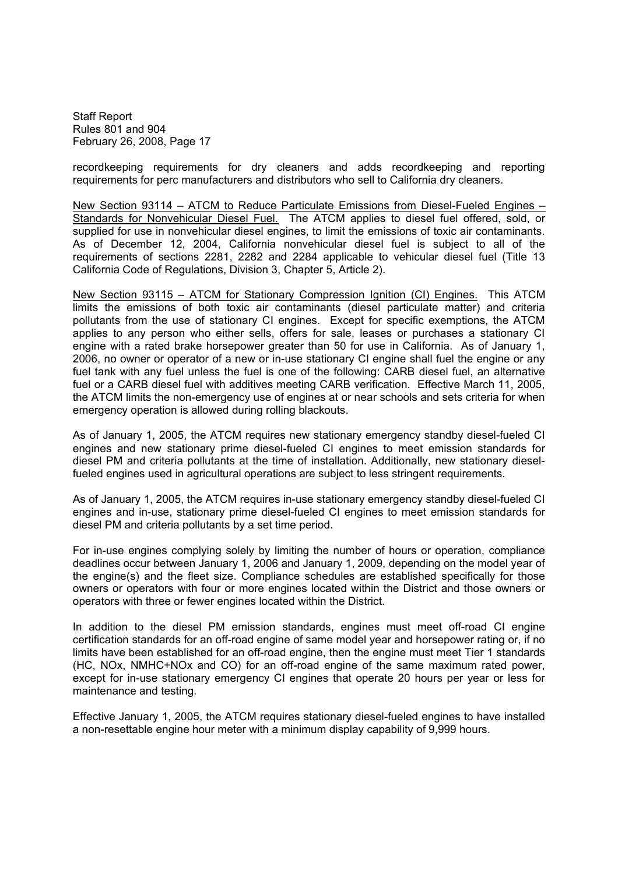recordkeeping requirements for dry cleaners and adds recordkeeping and reporting requirements for perc manufacturers and distributors who sell to California dry cleaners.

New Section 93114 – ATCM to Reduce Particulate Emissions from Diesel-Fueled Engines – Standards for Nonvehicular Diesel Fuel. The ATCM applies to diesel fuel offered, sold, or supplied for use in nonvehicular diesel engines, to limit the emissions of toxic air contaminants. As of December 12, 2004, California nonvehicular diesel fuel is subject to all of the requirements of sections 2281, 2282 and 2284 applicable to vehicular diesel fuel (Title 13 California Code of Regulations, Division 3, Chapter 5, Article 2).

New Section 93115 ATCM for Stationary Compression Ignition (CI) Engines. This ATCM limits the emissions of both toxic air contaminants (diesel particulate matter) and criteria pollutants from the use of stationary CI engines. Except for specific exemptions, the ATCM applies to any person who either sells, offers for sale, leases or purchases a stationary CI engine with a rated brake horsepower greater than 50 for use in California. As of January 1, 2006, no owner or operator of a new or in-use stationary CI engine shall fuel the engine or any fuel tank with any fuel unless the fuel is one of the following: CARB diesel fuel, an alternative fuel or a CARB diesel fuel with additives meeting CARB verification. Effective March 11, 2005, the ATCM limits the non-emergency use of engines at or near schools and sets criteria for when emergency operation is allowed during rolling blackouts.

As of January 1, 2005, the ATCM requires new stationary emergency standby diesel-fueled CI engines and new stationary prime diesel-fueled CI engines to meet emission standards for diesel PM and criteria pollutants at the time of installation. Additionally, new stationary dieselfueled engines used in agricultural operations are subject to less stringent requirements.

As of January 1, 2005, the ATCM requires in-use stationary emergency standby diesel-fueled CI engines and in-use, stationary prime diesel-fueled CI engines to meet emission standards for diesel PM and criteria pollutants by a set time period.

For in-use engines complying solely by limiting the number of hours or operation, compliance deadlines occur between January 1, 2006 and January 1, 2009, depending on the model year of the engine(s) and the fleet size. Compliance schedules are established specifically for those owners or operators with four or more engines located within the District and those owners or operators with three or fewer engines located within the District.

In addition to the diesel PM emission standards, engines must meet off-road CI engine certification standards for an off-road engine of same model year and horsepower rating or, if no limits have been established for an off-road engine, then the engine must meet Tier 1 standards (HC, NOx, NMHC+NOx and CO) for an off-road engine of the same maximum rated power, except for in-use stationary emergency CI engines that operate 20 hours per year or less for maintenance and testing.

Effective January 1, 2005, the ATCM requires stationary diesel-fueled engines to have installed a non-resettable engine hour meter with a minimum display capability of 9,999 hours.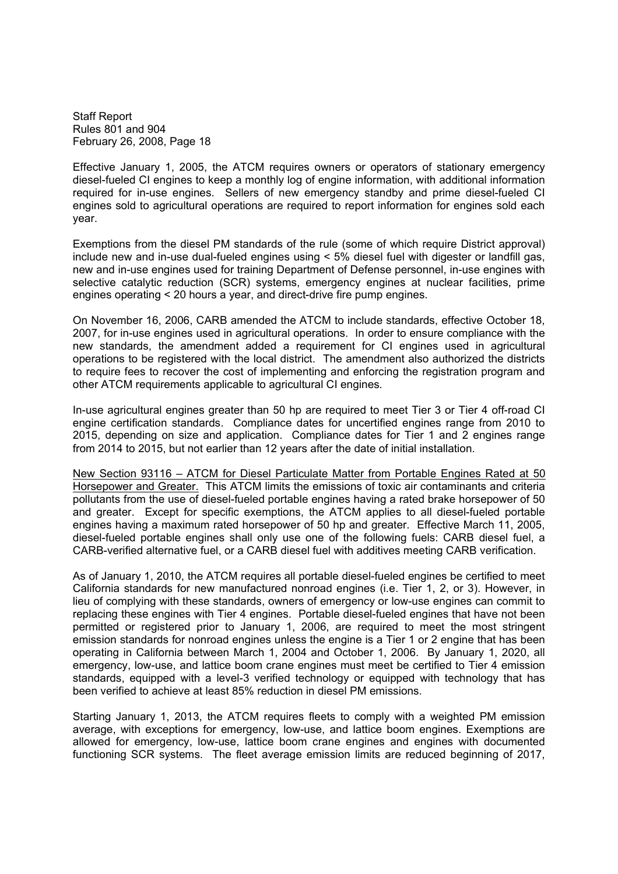Effective January 1, 2005, the ATCM requires owners or operators of stationary emergency diesel-fueled CI engines to keep a monthly log of engine information, with additional information required for in-use engines. Sellers of new emergency standby and prime diesel-fueled CI engines sold to agricultural operations are required to report information for engines sold each year.

Exemptions from the diesel PM standards of the rule (some of which require District approval) include new and in-use dual-fueled engines using  $\leq 5\%$  diesel fuel with digester or landfill gas. new and in-use engines used for training Department of Defense personnel, in-use engines with selective catalytic reduction (SCR) systems, emergency engines at nuclear facilities, prime engines operating < 20 hours a year, and direct-drive fire pump engines.

On November 16, 2006, CARB amended the ATCM to include standards, effective October 18, 2007, for in-use engines used in agricultural operations. In order to ensure compliance with the new standards, the amendment added a requirement for CI engines used in agricultural operations to be registered with the local district. The amendment also authorized the districts to require fees to recover the cost of implementing and enforcing the registration program and other ATCM requirements applicable to agricultural CI engines.

In-use agricultural engines greater than 50 hp are required to meet Tier 3 or Tier 4 off-road CI engine certification standards. Compliance dates for uncertified engines range from 2010 to 2015, depending on size and application. Compliance dates for Tier 1 and 2 engines range from 2014 to 2015, but not earlier than 12 years after the date of initial installation.

New Section 93116 - ATCM for Diesel Particulate Matter from Portable Engines Rated at 50 Horsepower and Greater. This ATCM limits the emissions of toxic air contaminants and criteria pollutants from the use of diesel-fueled portable engines having a rated brake horsepower of 50 and greater. Except for specific exemptions, the ATCM applies to all diesel-fueled portable engines having a maximum rated horsepower of 50 hp and greater. Effective March 11, 2005, diesel-fueled portable engines shall only use one of the following fuels: CARB diesel fuel, a CARB-verified alternative fuel, or a CARB diesel fuel with additives meeting CARB verification.

As of January 1, 2010, the ATCM requires all portable diesel-fueled engines be certified to meet California standards for new manufactured nonroad engines (i.e. Tier 1, 2, or 3). However, in lieu of complying with these standards, owners of emergency or low-use engines can commit to replacing these engines with Tier 4 engines. Portable diesel-fueled engines that have not been permitted or registered prior to January 1, 2006, are required to meet the most stringent emission standards for nonroad engines unless the engine is a Tier 1 or 2 engine that has been operating in California between March 1, 2004 and October 1, 2006. By January 1, 2020, all emergency, low-use, and lattice boom crane engines must meet be certified to Tier 4 emission standards, equipped with a level-3 verified technology or equipped with technology that has been verified to achieve at least 85% reduction in diesel PM emissions.

Starting January 1, 2013, the ATCM requires fleets to comply with a weighted PM emission average, with exceptions for emergency, low-use, and lattice boom engines. Exemptions are allowed for emergency, low-use, lattice boom crane engines and engines with documented functioning SCR systems. The fleet average emission limits are reduced beginning of 2017,